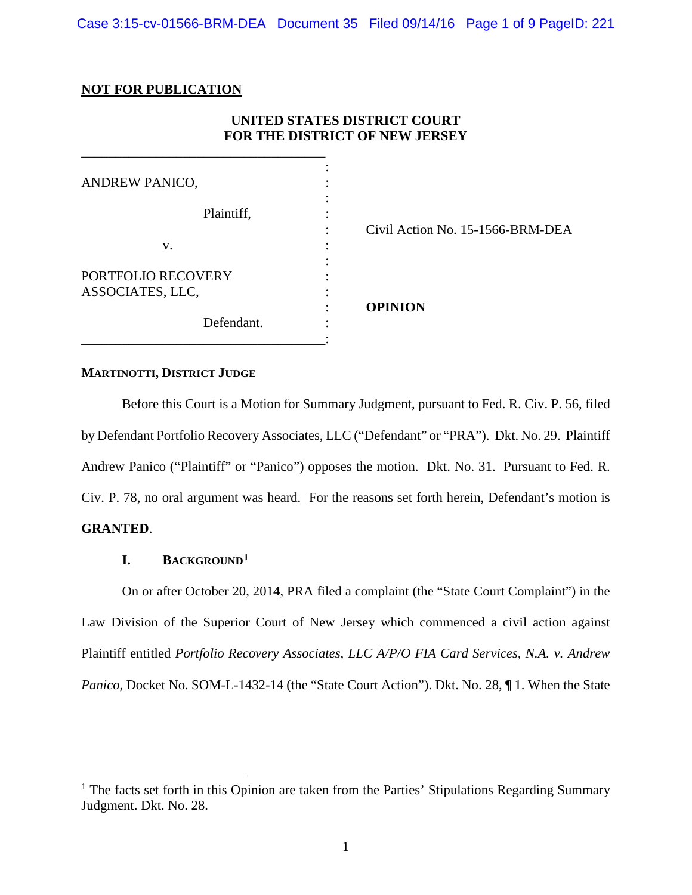# **NOT FOR PUBLICATION**

# **UNITED STATES DISTRICT COURT FOR THE DISTRICT OF NEW JERSEY**

| <b>ANDREW PANICO,</b>                  |                                       |
|----------------------------------------|---------------------------------------|
| Plaintiff,                             | ٠<br>Civil Action No. 15-1566-BRM-DEA |
| V.                                     |                                       |
| PORTFOLIO RECOVERY<br>ASSOCIATES, LLC, | <b>OPINION</b>                        |
| Defendant.                             |                                       |

### **MARTINOTTI, DISTRICT JUDGE**

Before this Court is a Motion for Summary Judgment, pursuant to Fed. R. Civ. P. 56, filed by Defendant Portfolio Recovery Associates, LLC ("Defendant" or "PRA"). Dkt. No. 29. Plaintiff Andrew Panico ("Plaintiff" or "Panico") opposes the motion. Dkt. No. 31. Pursuant to Fed. R. Civ. P. 78, no oral argument was heard. For the reasons set forth herein, Defendant's motion is **GRANTED**.

# **I. BACKGROUND[1](#page-0-0)**

On or after October 20, 2014, PRA filed a complaint (the "State Court Complaint") in the Law Division of the Superior Court of New Jersey which commenced a civil action against Plaintiff entitled *Portfolio Recovery Associates, LLC A/P/O FIA Card Services, N.A. v. Andrew Panico*, Docket No. SOM-L-1432-14 (the "State Court Action"). Dkt. No. 28, ¶1. When the State

<span id="page-0-0"></span> $<sup>1</sup>$  The facts set forth in this Opinion are taken from the Parties' Stipulations Regarding Summary</sup> Judgment. Dkt. No. 28.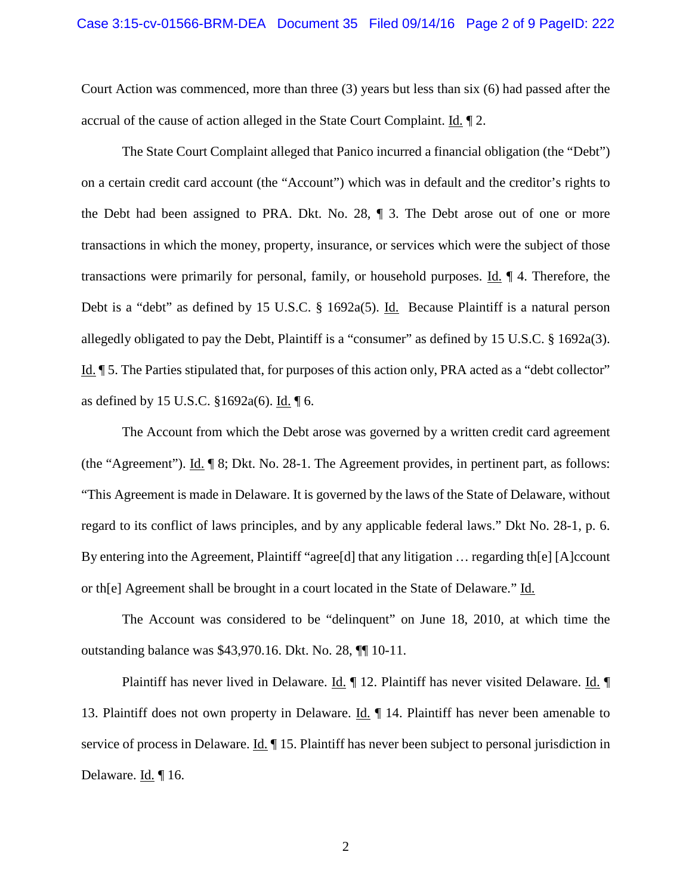Court Action was commenced, more than three (3) years but less than six (6) had passed after the accrual of the cause of action alleged in the State Court Complaint. Id. ¶ 2.

The State Court Complaint alleged that Panico incurred a financial obligation (the "Debt") on a certain credit card account (the "Account") which was in default and the creditor's rights to the Debt had been assigned to PRA. Dkt. No. 28, ¶ 3. The Debt arose out of one or more transactions in which the money, property, insurance, or services which were the subject of those transactions were primarily for personal, family, or household purposes. Id. ¶ 4. Therefore, the Debt is a "debt" as defined by 15 U.S.C. § 1692a(5). Id. Because Plaintiff is a natural person allegedly obligated to pay the Debt, Plaintiff is a "consumer" as defined by 15 U.S.C. § 1692a(3). Id. ¶ 5. The Parties stipulated that, for purposes of this action only, PRA acted as a "debt collector" as defined by 15 U.S.C. §1692a(6). Id. ¶ 6.

The Account from which the Debt arose was governed by a written credit card agreement (the "Agreement"). Id. ¶ 8; Dkt. No. 28-1. The Agreement provides, in pertinent part, as follows: "This Agreement is made in Delaware. It is governed by the laws of the State of Delaware, without regard to its conflict of laws principles, and by any applicable federal laws." Dkt No. 28-1, p. 6. By entering into the Agreement, Plaintiff "agree<sup>[d]</sup> that any litigation ... regarding th<sup>[e]</sup> [A]ccount or th[e] Agreement shall be brought in a court located in the State of Delaware." Id.

The Account was considered to be "delinquent" on June 18, 2010, at which time the outstanding balance was \$43,970.16. Dkt. No. 28, ¶¶ 10-11.

Plaintiff has never lived in Delaware. Id. ¶ 12. Plaintiff has never visited Delaware. Id. ¶ 13. Plaintiff does not own property in Delaware. Id. ¶ 14. Plaintiff has never been amenable to service of process in Delaware. Id. ¶ 15. Plaintiff has never been subject to personal jurisdiction in Delaware.  $\underline{Id}$ . | 16.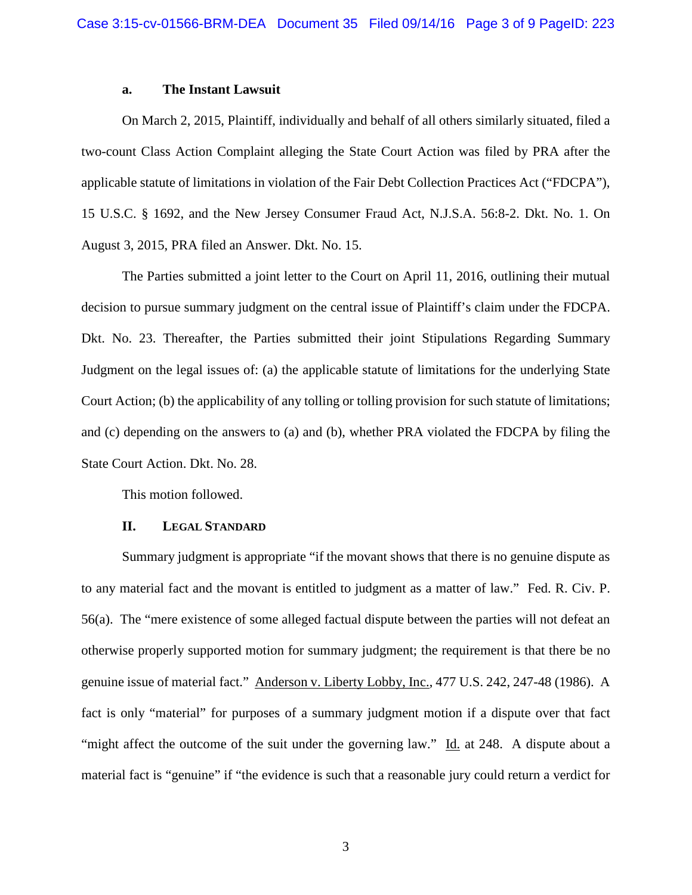#### **a. The Instant Lawsuit**

On March 2, 2015, Plaintiff, individually and behalf of all others similarly situated, filed a two-count Class Action Complaint alleging the State Court Action was filed by PRA after the applicable statute of limitations in violation of the Fair Debt Collection Practices Act ("FDCPA"), 15 U.S.C. § 1692, and the New Jersey Consumer Fraud Act, N.J.S.A. 56:8-2. Dkt. No. 1. On August 3, 2015, PRA filed an Answer. Dkt. No. 15.

The Parties submitted a joint letter to the Court on April 11, 2016, outlining their mutual decision to pursue summary judgment on the central issue of Plaintiff's claim under the FDCPA. Dkt. No. 23. Thereafter, the Parties submitted their joint Stipulations Regarding Summary Judgment on the legal issues of: (a) the applicable statute of limitations for the underlying State Court Action; (b) the applicability of any tolling or tolling provision for such statute of limitations; and (c) depending on the answers to (a) and (b), whether PRA violated the FDCPA by filing the State Court Action. Dkt. No. 28.

This motion followed.

#### **II. LEGAL STANDARD**

Summary judgment is appropriate "if the movant shows that there is no genuine dispute as to any material fact and the movant is entitled to judgment as a matter of law." Fed. R. Civ. P. 56(a). The "mere existence of some alleged factual dispute between the parties will not defeat an otherwise properly supported motion for summary judgment; the requirement is that there be no genuine issue of material fact." Anderson v. Liberty Lobby, Inc., 477 U.S. 242, 247-48 (1986). A fact is only "material" for purposes of a summary judgment motion if a dispute over that fact "might affect the outcome of the suit under the governing law." Id. at 248. A dispute about a material fact is "genuine" if "the evidence is such that a reasonable jury could return a verdict for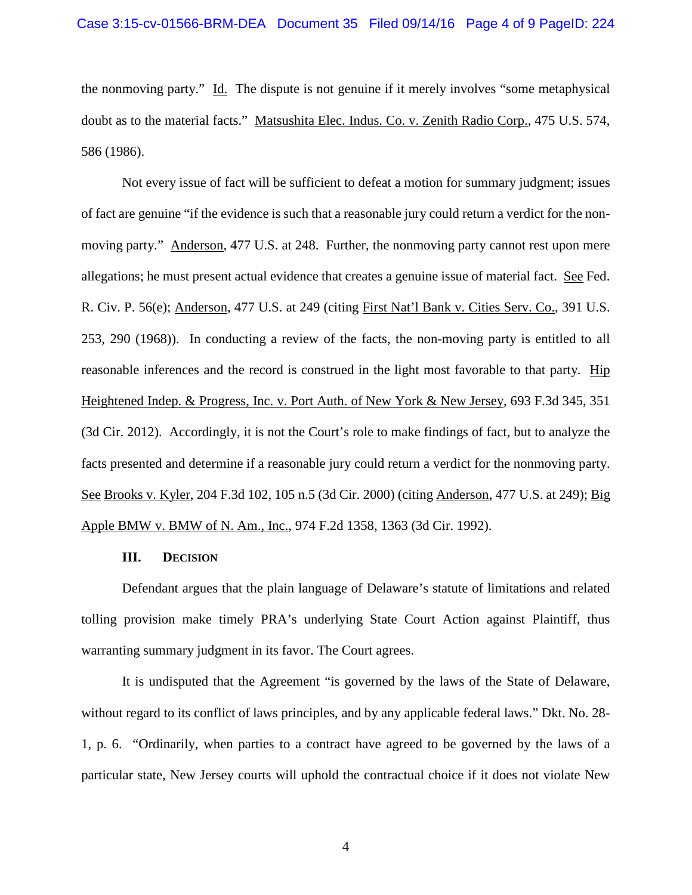the nonmoving party." Id. The dispute is not genuine if it merely involves "some metaphysical doubt as to the material facts." Matsushita Elec. Indus. Co. v. Zenith Radio Corp., 475 U.S. 574, 586 (1986).

Not every issue of fact will be sufficient to defeat a motion for summary judgment; issues of fact are genuine "if the evidence is such that a reasonable jury could return a verdict for the nonmoving party." Anderson, 477 U.S. at 248. Further, the nonmoving party cannot rest upon mere allegations; he must present actual evidence that creates a genuine issue of material fact. See Fed. R. Civ. P. 56(e); Anderson, 477 U.S. at 249 (citing First Nat'l Bank v. Cities Serv. Co., 391 U.S. 253, 290 (1968)). In conducting a review of the facts, the non-moving party is entitled to all reasonable inferences and the record is construed in the light most favorable to that party. Hip Heightened Indep. & Progress, Inc. v. Port Auth. of New York & New Jersey, 693 F.3d 345, 351 (3d Cir. 2012). Accordingly, it is not the Court's role to make findings of fact, but to analyze the facts presented and determine if a reasonable jury could return a verdict for the nonmoving party. See Brooks v. Kyler, 204 F.3d 102, 105 n.5 (3d Cir. 2000) (citing Anderson, 477 U.S. at 249); Big Apple BMW v. BMW of N. Am., Inc., 974 F.2d 1358, 1363 (3d Cir. 1992).

#### **III. DECISION**

Defendant argues that the plain language of Delaware's statute of limitations and related tolling provision make timely PRA's underlying State Court Action against Plaintiff, thus warranting summary judgment in its favor. The Court agrees.

It is undisputed that the Agreement "is governed by the laws of the State of Delaware, without regard to its conflict of laws principles, and by any applicable federal laws." Dkt. No. 28-1, p. 6. "Ordinarily, when parties to a contract have agreed to be governed by the laws of a particular state, New Jersey courts will uphold the contractual choice if it does not violate New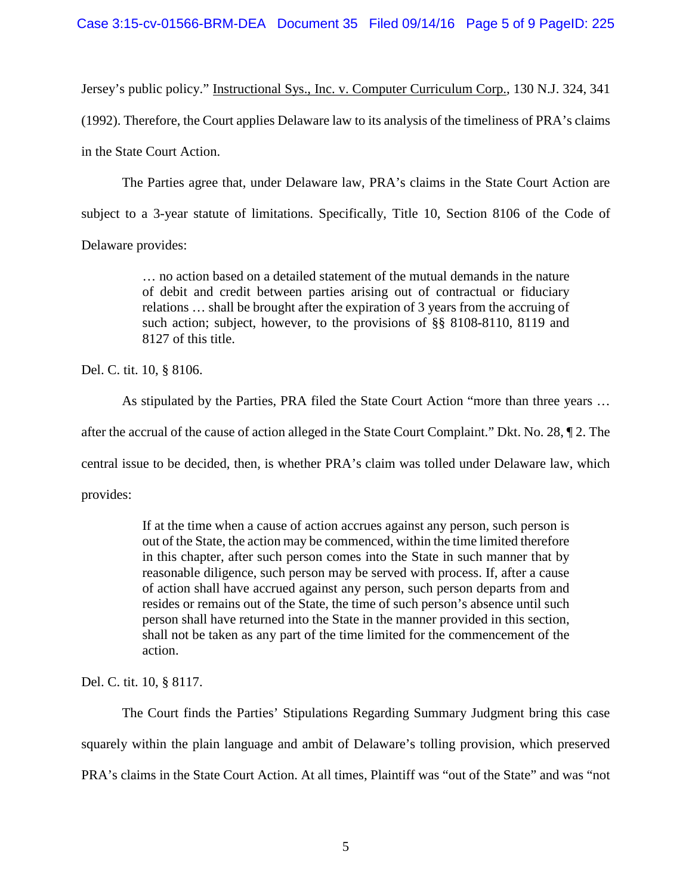Jersey's public policy." Instructional Sys., Inc. v. Computer Curriculum Corp., 130 N.J. 324, 341

(1992). Therefore, the Court applies Delaware law to its analysis of the timeliness of PRA's claims

in the State Court Action.

The Parties agree that, under Delaware law, PRA's claims in the State Court Action are

subject to a 3-year statute of limitations. Specifically, Title 10, Section 8106 of the Code of

Delaware provides:

… no action based on a detailed statement of the mutual demands in the nature of debit and credit between parties arising out of contractual or fiduciary relations … shall be brought after the expiration of 3 years from the accruing of such action; subject, however, to the provisions of §§ 8108-8110, 8119 and 8127 of this title.

Del. C. tit. 10, § 8106.

As stipulated by the Parties, PRA filed the State Court Action "more than three years …

after the accrual of the cause of action alleged in the State Court Complaint." Dkt. No. 28, ¶ 2. The

central issue to be decided, then, is whether PRA's claim was tolled under Delaware law, which

provides:

If at the time when a cause of action accrues against any person, such person is out of the State, the action may be commenced, within the time limited therefore in this chapter, after such person comes into the State in such manner that by reasonable diligence, such person may be served with process. If, after a cause of action shall have accrued against any person, such person departs from and resides or remains out of the State, the time of such person's absence until such person shall have returned into the State in the manner provided in this section, shall not be taken as any part of the time limited for the commencement of the action.

Del. C. tit. 10, § 8117.

The Court finds the Parties' Stipulations Regarding Summary Judgment bring this case squarely within the plain language and ambit of Delaware's tolling provision, which preserved PRA's claims in the State Court Action. At all times, Plaintiff was "out of the State" and was "not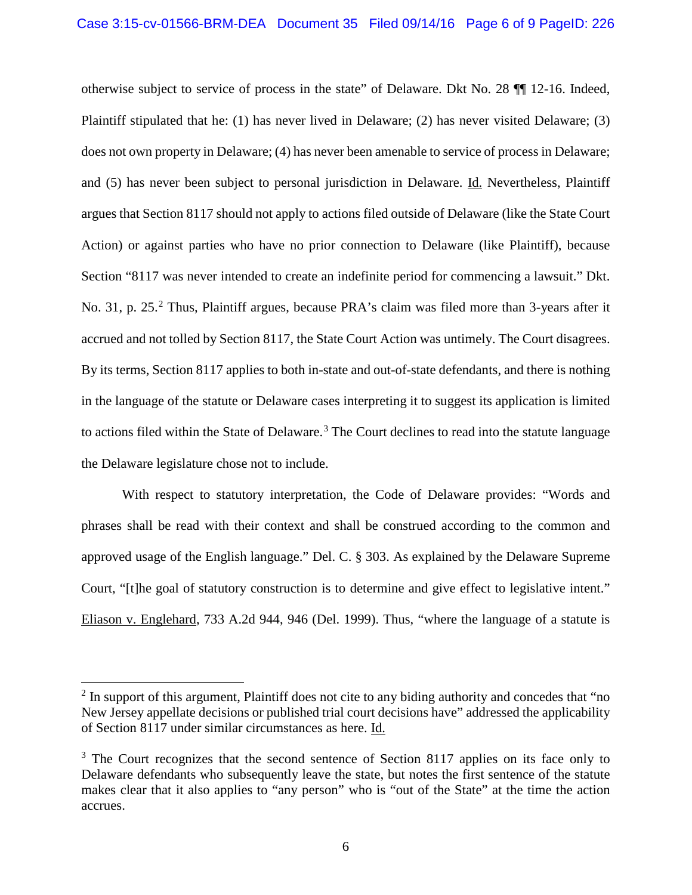otherwise subject to service of process in the state" of Delaware. Dkt No. 28 ¶¶ 12-16. Indeed, Plaintiff stipulated that he: (1) has never lived in Delaware; (2) has never visited Delaware; (3) does not own property in Delaware; (4) has never been amenable to service of process in Delaware; and (5) has never been subject to personal jurisdiction in Delaware. Id. Nevertheless, Plaintiff argues that Section 8117 should not apply to actions filed outside of Delaware (like the State Court Action) or against parties who have no prior connection to Delaware (like Plaintiff), because Section "8117 was never intended to create an indefinite period for commencing a lawsuit." Dkt. No. 31, p. [2](#page-5-0)5.<sup>2</sup> Thus, Plaintiff argues, because PRA's claim was filed more than 3-years after it accrued and not tolled by Section 8117, the State Court Action was untimely. The Court disagrees. By its terms, Section 8117 applies to both in-state and out-of-state defendants, and there is nothing in the language of the statute or Delaware cases interpreting it to suggest its application is limited to actions filed within the State of Delaware.<sup>[3](#page-5-1)</sup> The Court declines to read into the statute language the Delaware legislature chose not to include.

With respect to statutory interpretation, the Code of Delaware provides: "Words and phrases shall be read with their context and shall be construed according to the common and approved usage of the English language." Del. C. § 303. As explained by the Delaware Supreme Court, "[t]he goal of statutory construction is to determine and give effect to legislative intent." Eliason v. Englehard, 733 A.2d 944, 946 (Del. 1999). Thus, "where the language of a statute is

<span id="page-5-0"></span><sup>&</sup>lt;sup>2</sup> In support of this argument, Plaintiff does not cite to any biding authority and concedes that "no New Jersey appellate decisions or published trial court decisions have" addressed the applicability of Section 8117 under similar circumstances as here. Id.

<span id="page-5-1"></span> $3$  The Court recognizes that the second sentence of Section 8117 applies on its face only to Delaware defendants who subsequently leave the state, but notes the first sentence of the statute makes clear that it also applies to "any person" who is "out of the State" at the time the action accrues.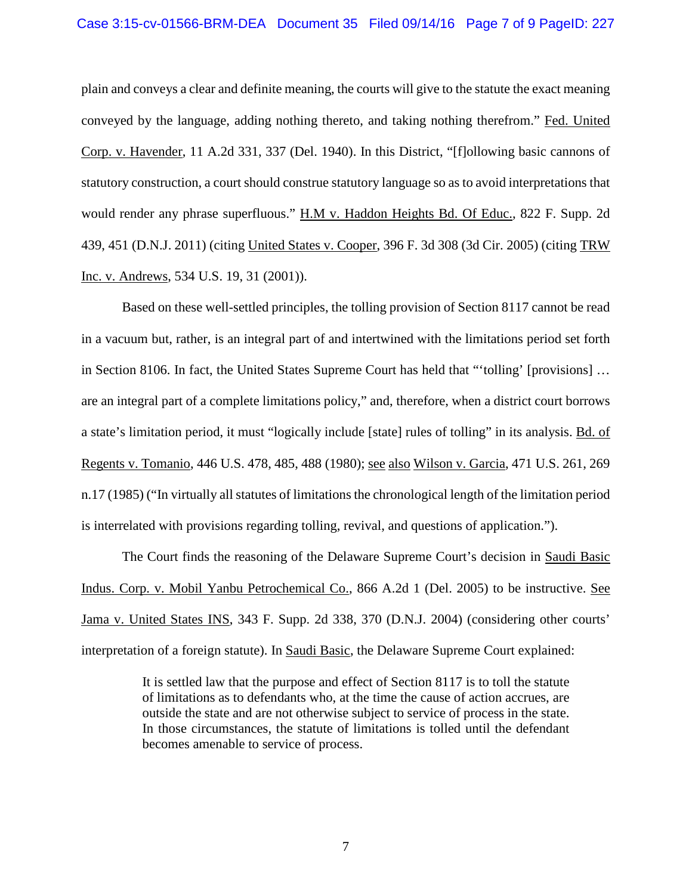### Case 3:15-cv-01566-BRM-DEA Document 35 Filed 09/14/16 Page 7 of 9 PageID: 227

plain and conveys a clear and definite meaning, the courts will give to the statute the exact meaning conveyed by the language, adding nothing thereto, and taking nothing therefrom." Fed. United Corp. v. Havender, 11 A.2d 331, 337 (Del. 1940). In this District, "[f]ollowing basic cannons of statutory construction, a court should construe statutory language so as to avoid interpretations that would render any phrase superfluous." H.M v. Haddon Heights Bd. Of Educ., 822 F. Supp. 2d 439, 451 (D.N.J. 2011) (citing United States v. Cooper, 396 F. 3d 308 (3d Cir. 2005) (citing TRW Inc. v. Andrews, 534 U.S. 19, 31 (2001)).

Based on these well-settled principles, the tolling provision of Section 8117 cannot be read in a vacuum but, rather, is an integral part of and intertwined with the limitations period set forth in Section 8106. In fact, the United States Supreme Court has held that "'tolling' [provisions] … are an integral part of a complete limitations policy," and, therefore, when a district court borrows a state's limitation period, it must "logically include [state] rules of tolling" in its analysis. Bd. of Regents v. Tomanio, 446 U.S. 478, 485, 488 (1980); see also Wilson v. Garcia, 471 U.S. 261, 269 n.17 (1985) ("In virtually all statutes of limitations the chronological length of the limitation period is interrelated with provisions regarding tolling, revival, and questions of application.").

The Court finds the reasoning of the Delaware Supreme Court's decision in Saudi Basic Indus. Corp. v. Mobil Yanbu Petrochemical Co., 866 A.2d 1 (Del. 2005) to be instructive. See Jama v. United States INS, 343 F. Supp. 2d 338, 370 (D.N.J. 2004) (considering other courts' interpretation of a foreign statute). In Saudi Basic, the Delaware Supreme Court explained:

> It is settled law that the purpose and effect of Section 8117 is to toll the statute of limitations as to defendants who, at the time the cause of action accrues, are outside the state and are not otherwise subject to service of process in the state. In those circumstances, the statute of limitations is tolled until the defendant becomes amenable to service of process.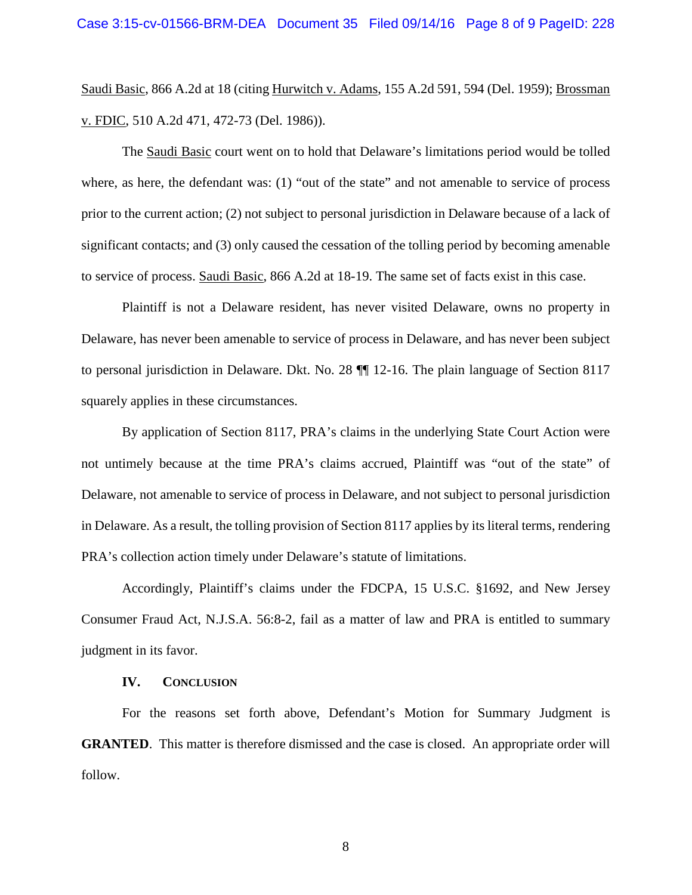Saudi Basic, 866 A.2d at 18 (citing Hurwitch v. Adams, 155 A.2d 591, 594 (Del. 1959); Brossman v. FDIC, 510 A.2d 471, 472-73 (Del. 1986)).

The Saudi Basic court went on to hold that Delaware's limitations period would be tolled where, as here, the defendant was: (1) "out of the state" and not amenable to service of process prior to the current action; (2) not subject to personal jurisdiction in Delaware because of a lack of significant contacts; and (3) only caused the cessation of the tolling period by becoming amenable to service of process. Saudi Basic, 866 A.2d at 18-19. The same set of facts exist in this case.

Plaintiff is not a Delaware resident, has never visited Delaware, owns no property in Delaware, has never been amenable to service of process in Delaware, and has never been subject to personal jurisdiction in Delaware. Dkt. No. 28 ¶¶ 12-16. The plain language of Section 8117 squarely applies in these circumstances.

By application of Section 8117, PRA's claims in the underlying State Court Action were not untimely because at the time PRA's claims accrued, Plaintiff was "out of the state" of Delaware, not amenable to service of process in Delaware, and not subject to personal jurisdiction in Delaware. As a result, the tolling provision of Section 8117 applies by its literal terms, rendering PRA's collection action timely under Delaware's statute of limitations.

Accordingly, Plaintiff's claims under the FDCPA, 15 U.S.C. §1692, and New Jersey Consumer Fraud Act, N.J.S.A. 56:8-2, fail as a matter of law and PRA is entitled to summary judgment in its favor.

### **IV. CONCLUSION**

For the reasons set forth above, Defendant's Motion for Summary Judgment is **GRANTED**. This matter is therefore dismissed and the case is closed. An appropriate order will follow.